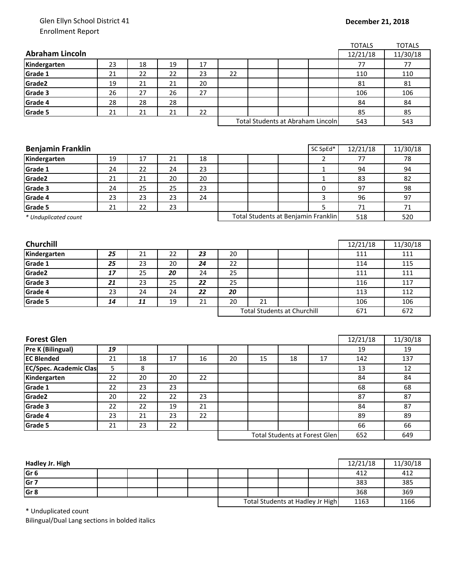## Glen Ellyn School District 41 Enrollment Report

|                               |    |    |    |    |                                    |                                     |                                      |                                   | <b>TOTALS</b> | <b>TOTALS</b> |
|-------------------------------|----|----|----|----|------------------------------------|-------------------------------------|--------------------------------------|-----------------------------------|---------------|---------------|
| <b>Abraham Lincoln</b>        |    |    |    |    |                                    |                                     |                                      |                                   | 12/21/18      | 11/30/18      |
| Kindergarten                  | 23 | 18 | 19 | 17 |                                    |                                     |                                      |                                   | 77            | 77            |
| Grade 1                       | 21 | 22 | 22 | 23 | 22                                 |                                     |                                      | 110                               |               | 110           |
| Grade2                        | 19 | 21 | 21 | 20 |                                    |                                     |                                      | 81                                |               | 81            |
| Grade 3                       | 26 | 27 | 26 | 27 |                                    |                                     |                                      |                                   | 106           | 106           |
| Grade 4                       | 28 | 28 | 28 |    |                                    |                                     |                                      |                                   | 84            | 84            |
| Grade 5                       | 21 | 21 | 21 | 22 |                                    |                                     |                                      |                                   | 85            | 85            |
|                               |    |    |    |    |                                    |                                     |                                      | Total Students at Abraham Lincoln | 543           | 543           |
|                               |    |    |    |    |                                    |                                     |                                      |                                   |               |               |
|                               |    |    |    |    |                                    |                                     |                                      |                                   |               |               |
| <b>Benjamin Franklin</b>      |    |    |    |    |                                    |                                     |                                      | SC SpEd*                          | 12/21/18      | 11/30/18      |
| Kindergarten                  | 19 | 17 | 21 | 18 |                                    |                                     |                                      | $\overline{2}$                    | 77            | 78            |
| Grade 1                       | 24 | 22 | 24 | 23 |                                    |                                     |                                      | $\mathbf{1}$                      | 94            | 94            |
| Grade2                        | 21 | 21 | 20 | 20 |                                    |                                     |                                      | $\mathbf{1}$                      | 83            | 82            |
| Grade 3                       | 24 | 25 | 25 | 23 |                                    |                                     |                                      | 0                                 | 97            | 98            |
| Grade 4                       | 23 | 23 | 23 | 24 |                                    |                                     |                                      | 3                                 | 96            | 97            |
| Grade 5                       | 21 | 22 | 23 |    |                                    |                                     |                                      | 5                                 | 71            | 71            |
| * Unduplicated count          |    |    |    |    |                                    | Total Students at Benjamin Franklin |                                      | 518                               | 520           |               |
|                               |    |    |    |    |                                    |                                     |                                      |                                   |               |               |
|                               |    |    |    |    |                                    |                                     |                                      |                                   |               |               |
| Churchill                     |    |    |    |    |                                    |                                     |                                      |                                   | 12/21/18      | 11/30/18      |
| Kindergarten                  | 25 | 21 | 22 | 23 | 20                                 |                                     |                                      |                                   | 111           | 111           |
| Grade 1                       | 25 | 23 | 20 | 24 | 22                                 |                                     |                                      |                                   | 114           | 115           |
| Grade2                        | 17 | 25 | 20 | 24 | 25                                 |                                     |                                      |                                   | 111           | 111           |
| Grade 3                       | 21 | 23 | 25 | 22 | 25                                 |                                     |                                      |                                   | 116           | 117           |
| Grade 4                       | 23 | 24 | 24 | 22 | 20                                 |                                     |                                      |                                   | 113           | 112           |
| Grade 5                       | 14 | 11 | 19 | 21 | 20                                 | 21                                  |                                      |                                   | 106           | 106           |
|                               |    |    |    |    | <b>Total Students at Churchill</b> |                                     |                                      | 671                               | 672           |               |
|                               |    |    |    |    |                                    |                                     |                                      |                                   |               |               |
|                               |    |    |    |    |                                    |                                     |                                      |                                   |               |               |
| <b>Forest Glen</b>            |    |    |    |    |                                    |                                     |                                      |                                   | 12/21/18      | 11/30/18      |
| <b>Pre K (Bilingual)</b>      | 19 |    |    |    |                                    |                                     |                                      |                                   | 19            | 19            |
| <b>EC Blended</b>             | 21 | 18 | 17 | 16 | 20                                 | 15                                  | 18                                   | 17                                | 142           | 137           |
| <b>EC/Spec. Academic Clas</b> | 5  | 8  |    |    |                                    |                                     |                                      |                                   | 13            | 12            |
| Kindergarten                  | 22 | 20 | 20 | 22 |                                    |                                     |                                      |                                   | 84            | 84            |
| Grade 1                       | 22 | 23 | 23 |    |                                    |                                     |                                      |                                   | 68            | 68            |
| Grade2                        | 20 | 22 | 22 | 23 |                                    |                                     |                                      |                                   | 87            | 87            |
| Grade 3                       | 22 | 22 | 19 | 21 |                                    |                                     |                                      |                                   | 84            | 87            |
| Grade 4                       | 23 | 21 | 23 | 22 |                                    |                                     |                                      |                                   | 89            | 89            |
| Grade 5                       | 21 | 23 | 22 |    |                                    |                                     |                                      |                                   | 66            | 66            |
|                               |    |    |    |    |                                    |                                     | <b>Total Students at Forest Glen</b> | 652                               | 649           |               |
|                               |    |    |    |    |                                    |                                     |                                      |                                   |               |               |

| Hadley Jr. High |  |  |                                  |  |      | 12/21/18 | 11/30/18 |
|-----------------|--|--|----------------------------------|--|------|----------|----------|
| Gr <sub>6</sub> |  |  |                                  |  |      | 412      | 412      |
| Gr <sub>7</sub> |  |  |                                  |  |      | 383      | 385      |
| Gr <sub>8</sub> |  |  |                                  |  |      | 368      | 369      |
|                 |  |  | Total Students at Hadley Jr High |  | 1163 | 1166     |          |

\* Unduplicated count

Bilingual/Dual Lang sections in bolded italics